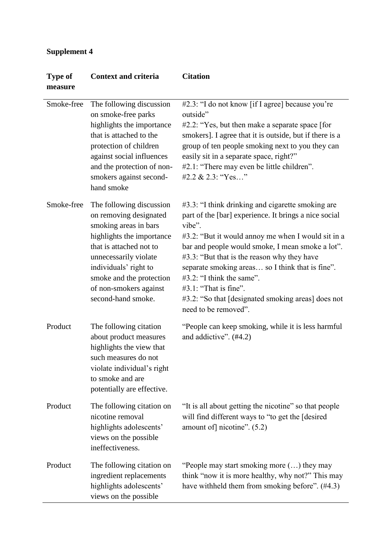## **Supplement 4**

| <b>Type of</b><br>measure | <b>Context and criteria</b>                                                                                                                                                                                                                                       | <b>Citation</b>                                                                                                                                                                                                                                                                                                                                                                                                                                                             |
|---------------------------|-------------------------------------------------------------------------------------------------------------------------------------------------------------------------------------------------------------------------------------------------------------------|-----------------------------------------------------------------------------------------------------------------------------------------------------------------------------------------------------------------------------------------------------------------------------------------------------------------------------------------------------------------------------------------------------------------------------------------------------------------------------|
| Smoke-free                | The following discussion<br>on smoke-free parks<br>highlights the importance<br>that is attached to the<br>protection of children<br>against social influences<br>and the protection of non-<br>smokers against second-<br>hand smoke                             | #2.3: "I do not know [if I agree] because you're<br>outside"<br>$#2.2$ : "Yes, but then make a separate space [for<br>smokers]. I agree that it is outside, but if there is a<br>group of ten people smoking next to you they can<br>easily sit in a separate space, right?"<br>#2.1: "There may even be little children".<br>#2.2 & 2.3: "Yes"                                                                                                                             |
| Smoke-free                | The following discussion<br>on removing designated<br>smoking areas in bars<br>highlights the importance<br>that is attached not to<br>unnecessarily violate<br>individuals' right to<br>smoke and the protection<br>of non-smokers against<br>second-hand smoke. | #3.3: "I think drinking and cigarette smoking are<br>part of the [bar] experience. It brings a nice social<br>vibe".<br>#3.2: "But it would annoy me when I would sit in a<br>bar and people would smoke, I mean smoke a lot".<br>#3.3: "But that is the reason why they have<br>separate smoking areas so I think that is fine".<br>$#3.2$ : "I think the same".<br>$#3.1$ : "That is fine".<br>#3.2: "So that [designated smoking areas] does not<br>need to be removed". |
| Product                   | The following citation<br>about product measures<br>highlights the view that<br>such measures do not<br>violate individual's right<br>to smoke and are<br>potentially are effective.                                                                              | "People can keep smoking, while it is less harmful<br>and addictive". (#4.2)                                                                                                                                                                                                                                                                                                                                                                                                |
| Product                   | The following citation on<br>nicotine removal<br>highlights adolescents'<br>views on the possible<br>ineffectiveness.                                                                                                                                             | "It is all about getting the nicotine" so that people<br>will find different ways to "to get the [desired]<br>amount of] nicotine". (5.2)                                                                                                                                                                                                                                                                                                                                   |
| Product                   | The following citation on<br>ingredient replacements<br>highlights adolescents'<br>views on the possible                                                                                                                                                          | "People may start smoking more $(\ldots)$ they may<br>think "now it is more healthy, why not?" This may<br>have withheld them from smoking before". (#4.3)                                                                                                                                                                                                                                                                                                                  |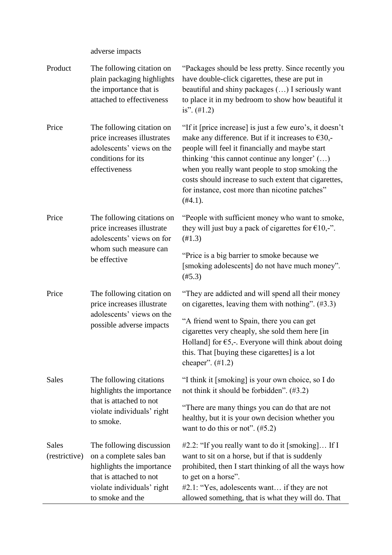adverse impacts

| Product                       | The following citation on<br>plain packaging highlights<br>the importance that is<br>attached to effectiveness                                                | "Packages should be less pretty. Since recently you<br>have double-click cigarettes, these are put in<br>beautiful and shiny packages () I seriously want<br>to place it in my bedroom to show how beautiful it<br>is". $(\#1.2)$                                                                                                                                                                         |
|-------------------------------|---------------------------------------------------------------------------------------------------------------------------------------------------------------|-----------------------------------------------------------------------------------------------------------------------------------------------------------------------------------------------------------------------------------------------------------------------------------------------------------------------------------------------------------------------------------------------------------|
| Price                         | The following citation on<br>price increases illustrates<br>adolescents' views on the<br>conditions for its<br>effectiveness                                  | "If it [price increase] is just a few euro's, it doesn't<br>make any difference. But if it increases to $\epsilon$ 30,-<br>people will feel it financially and maybe start<br>thinking 'this cannot continue any longer' $()$<br>when you really want people to stop smoking the<br>costs should increase to such extent that cigarettes,<br>for instance, cost more than nicotine patches"<br>$(\#4.1).$ |
| Price                         | The following citations on<br>price increases illustrate<br>adolescents' views on for                                                                         | "People with sufficient money who want to smoke,<br>they will just buy a pack of cigarettes for $\epsilon 10$ ,-".<br>(H1.3)                                                                                                                                                                                                                                                                              |
|                               | whom such measure can<br>be effective                                                                                                                         | "Price is a big barrier to smoke because we<br>[smoking adolescents] do not have much money".<br>$(\#5.3)$                                                                                                                                                                                                                                                                                                |
| Price                         | The following citation on<br>price increases illustrate<br>adolescents' views on the<br>possible adverse impacts                                              | "They are addicted and will spend all their money<br>on cigarettes, leaving them with nothing". $(\#3.3)$                                                                                                                                                                                                                                                                                                 |
|                               |                                                                                                                                                               | "A friend went to Spain, there you can get<br>cigarettes very cheaply, she sold them here [in<br>Holland] for $\epsilon$ 5,-. Everyone will think about doing<br>this. That [buying these cigarettes] is a lot<br>cheaper". $(\#1.2)$                                                                                                                                                                     |
| <b>Sales</b>                  | The following citations<br>highlights the importance                                                                                                          | "I think it [smoking] is your own choice, so I do<br>not think it should be forbidden". $(\#3.2)$                                                                                                                                                                                                                                                                                                         |
|                               | that is attached to not<br>violate individuals' right<br>to smoke.                                                                                            | "There are many things you can do that are not<br>healthy, but it is your own decision whether you<br>want to do this or not". $(\#5.2)$                                                                                                                                                                                                                                                                  |
| <b>Sales</b><br>(restrictive) | The following discussion<br>on a complete sales ban<br>highlights the importance<br>that is attached to not<br>violate individuals' right<br>to smoke and the | #2.2: "If you really want to do it [smoking] If I<br>want to sit on a horse, but if that is suddenly<br>prohibited, then I start thinking of all the ways how<br>to get on a horse".<br>#2.1: "Yes, adolescents want if they are not<br>allowed something, that is what they will do. That                                                                                                                |